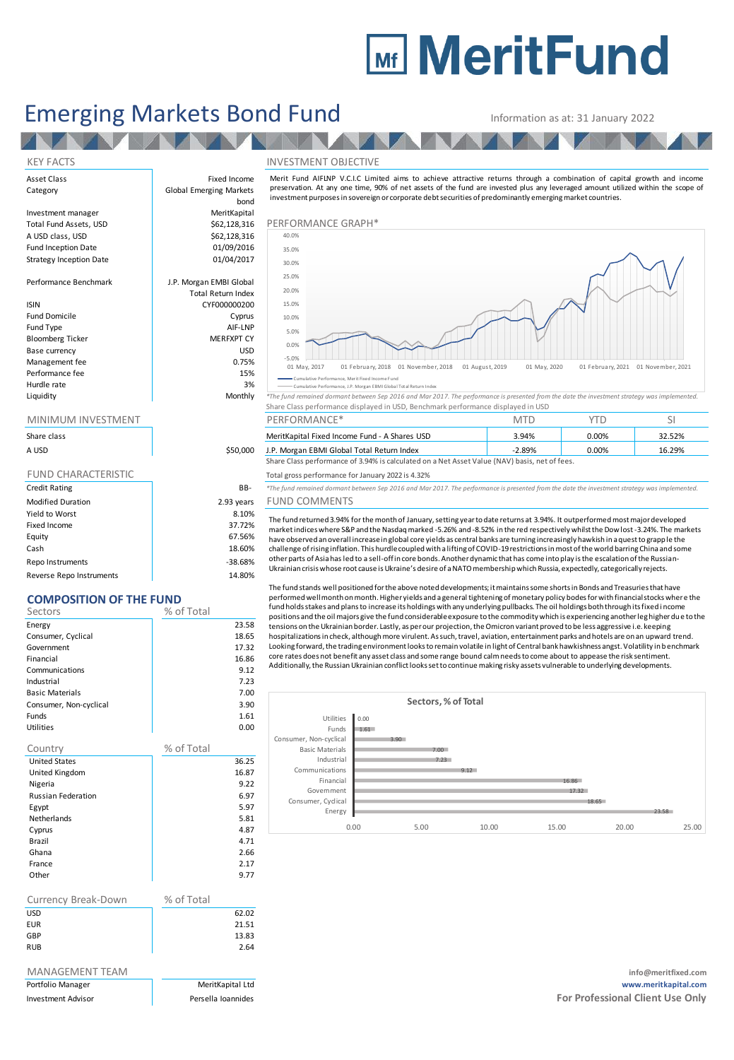# **Mir MeritFund**

## Emerging Markets Bond Fund Information as at: 31 January 2022

**TANK THE** 

bond

AV A

Total Return Index

Asset Class **Fixed Income** Category **Global Emerging Markets** 

Investment manager MeritKapital A USD class, USD  $$62,128,316$ <br>Fund Inception Date  $$01/09/2016$ Fund Inception Date **12 bis 1200 million**<br>Strategy Inception Date 101/04/2017 Strategy Inception Date

Performance Benchmark J.P. Morgan EMBI Global

### ISIN CYF000000200

Fund Domicile **Cyprus** Fund Type AIF-LNP<br>Bloomberg Ticker AIF-LNP MERFXPT CY Bloomberg Ticker Base currency and the state of the USD USD USD Management fee between the contraction of the contraction of the contraction of the contraction of the contraction of the contraction of the contraction of the contraction of the contraction of the contraction of the contr Performance fee 15% and 15% and 15% and 15% and 15% and 15% and 15% and 15% and 15% and 15% and 15% and 15% and 15% and 15% and 15% and 15% and 15% and 15% and 15% and 15% and 15% and 15% and 15% and 15% and 15% and 15% an Hurdle rate and the state of the state of the state of the state of the state of the state of the state of the<br>All the state of the state of the state of the state of the state of the state of the state of the state of th

| Share class                |            |
|----------------------------|------------|
| A USD                      | \$50,000   |
|                            |            |
| <b>FUND CHARACTERISTIC</b> |            |
| <b>Credit Rating</b>       | BB-        |
| <b>Modified Duration</b>   | 2.93 years |
| Yield to Worst             | 8.10%      |
| Fixed Income               | 37.72%     |
| Equity                     | 67.56%     |
| Cash                       | 18.60%     |
| Repo Instruments           | $-38.68%$  |

Reverse Repo Instruments 14.80%

## **COMPOSITION OF THE FUND**

| COMPOSITION OF THE FUND   |            |       |  |  |  |  |
|---------------------------|------------|-------|--|--|--|--|
| Sectors                   | % of Total |       |  |  |  |  |
| Energy                    |            | 23.58 |  |  |  |  |
| Consumer, Cyclical        |            | 18.65 |  |  |  |  |
| Government                |            | 17.32 |  |  |  |  |
| Financial                 |            | 16.86 |  |  |  |  |
| Communications            |            | 9.12  |  |  |  |  |
| Industrial                |            | 7.23  |  |  |  |  |
| <b>Basic Materials</b>    |            | 7.00  |  |  |  |  |
| Consumer, Non-cyclical    |            | 3.90  |  |  |  |  |
| Funds                     |            | 1.61  |  |  |  |  |
| <b>Utilities</b>          |            | 0.00  |  |  |  |  |
| Country                   | % of Total |       |  |  |  |  |
| <b>United States</b>      |            | 36.25 |  |  |  |  |
| United Kingdom            |            | 16.87 |  |  |  |  |
| Nigeria                   |            | 9.22  |  |  |  |  |
| <b>Russian Federation</b> |            | 6.97  |  |  |  |  |
| Egypt                     |            | 5.97  |  |  |  |  |
| <b>Netherlands</b>        |            | 5.81  |  |  |  |  |
| Cyprus                    |            | 4.87  |  |  |  |  |
| Brazil                    |            | 4.71  |  |  |  |  |
| Ghana                     |            | 2.66  |  |  |  |  |

| France<br>Other     |            | 2.17<br>9.77 |
|---------------------|------------|--------------|
| Currency Break-Down | % of Total |              |
| <b>USD</b>          |            | 62.02        |
| <b>EUR</b>          |            | 21.51        |
| GBP                 |            | 13.83        |
| <b>RUB</b>          |            | 2.64         |

| Portfolio Manager         |  |
|---------------------------|--|
| <b>Investment Advisor</b> |  |

### KEY FACTS INVESTMENT OBJECTIVE



Merit Fund AIFLNP V.C.I.C Limited aims to achieve attractive returns through a combination of capital growth and income

Cumulative Performance, Merit Fixed Income Fund Cumulative Performance, J.P. Morgan EBMI Global Total Return In

Liquidity Monthly *\*The fund remained dormant between Sep 2016 and Mar 2017. The performance is presented from the date the investment strategy was implemented.* Share Class performance displayed in USD, Benchmark performance displayed in USD

| <u>IVIIIVIIVIUIVI IIVVESTIVIEIVT</u> |          | PERFURIVIANCE <sup>-</sup>                                                                    |          |       |        |
|--------------------------------------|----------|-----------------------------------------------------------------------------------------------|----------|-------|--------|
| Share class                          |          | MeritKapital Fixed Income Fund - A Shares USD                                                 | 3.94%    | 0.00% | 32.52% |
| A USD                                | \$50,000 | J.P. Morgan EBMI Global Total Return Index                                                    | $-2.89%$ | 0.00% | 16.29% |
|                                      |          | Share Class performance of 3.94% is calculated on a Net Asset Value (NAV) basis, net of fees. |          |       |        |

Total gross performance for January 2022 is 4.32%

Credit Rating BB- *\*The fund remained dormant between Sep 2016 and Mar 2017. The performance is presented from the date the investment strategy was implemented.* ears FUND COMMENTS

The fund returned 3.94% for the month of January, setting year to date returns at 3.94%. It outperformed most major developed market indices where S&P and the Nasdaq marked -5.26% and -8.52% in the red respectively whilst the Dow lost -3.24%. The markets have observed an overall increase in global core yields as central banks are turning increasingly hawkish in a quest to grapp le the<br>challenge of rising inflation. This hurdle coupled with a lifting of COVID-19 restriction other parts of Asia has led to a sell-off in core bonds. Another dynamic that has come into play is the escalation of the Russian-

Ukrainian crisis whose root cause is Ukraine's desire of a NATO membership which Russia, expectedly, categorically rejects.

The fund stands well positioned for the above noted developments; it maintains some shorts in Bonds and Treasuries that have performed well month on month. Higher yields and a general tightening of monetary policy bodes for with financial stocks where the fund holds stakes and plans to increase its holdings with any underlying pullbacks. The oil holdings both through its fixed i ncome positions and the oil majors give the fund considerable exposure to the commodity which is experiencing another leg higher due to the tensions on the Ukrainian border. Lastly, as per our projection, the Omicron variant proved to be less aggressive i.e. keeping hospitalizations in check, although more virulent. As such, travel, aviation, entertainment parks and hotels are on an upward trend. Looking forward, the trading environment looks to remain volatile in light of Central bank hawkishness angst. Volatility in benchmark core rates does not benefit any asset class and some range bound calm needs to come about to appease the risk sentiment. Additionally, the Russian Ukrainian conflict looks set to continue making risky assets vulnerable to underlying developments.



MANAGEMENT TEAM **info@meritfixed.com** Portfolio Manager MeritKapital Ltd **www.meritkapital.com Investment Advisor Persella Ioannides For Professional Client Use Only For Professional Client Use Only**